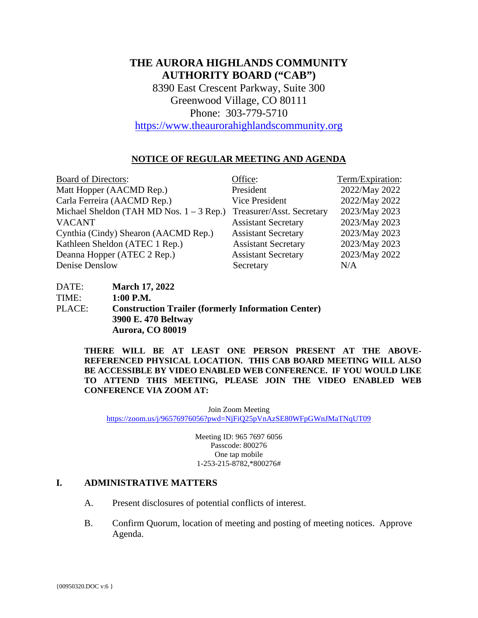# **THE AURORA HIGHLANDS COMMUNITY AUTHORITY BOARD ("CAB")**

8390 East Crescent Parkway, Suite 300 Greenwood Village, CO 80111 Phone: 303-779-5710

[https://www.theaurorahighlandscommunity.org](https://www.theaurorahighlandscommunity.org/)

## **NOTICE OF REGULAR MEETING AND AGENDA**

| <b>Board of Directors:</b>                 | Office:                    | Term/Expiration: |
|--------------------------------------------|----------------------------|------------------|
| Matt Hopper (AACMD Rep.)                   | President                  | 2022/May 2022    |
| Carla Ferreira (AACMD Rep.)                | Vice President             | 2022/May 2022    |
| Michael Sheldon (TAH MD Nos. $1 - 3$ Rep.) | Treasurer/Asst. Secretary  | 2023/May 2023    |
| <b>VACANT</b>                              | <b>Assistant Secretary</b> | 2023/May 2023    |
| Cynthia (Cindy) Shearon (AACMD Rep.)       | <b>Assistant Secretary</b> | 2023/May 2023    |
| Kathleen Sheldon (ATEC 1 Rep.)             | <b>Assistant Secretary</b> | 2023/May 2023    |
| Deanna Hopper (ATEC 2 Rep.)                | <b>Assistant Secretary</b> | 2023/May 2022    |
| Denise Denslow                             | Secretary                  | N/A              |

| DATE:  | <b>March 17, 2022</b>                                     |
|--------|-----------------------------------------------------------|
| TIME:  | $1:00$ P.M.                                               |
| PLACE: | <b>Construction Trailer (formerly Information Center)</b> |
|        | 3900 E. 470 Beltway                                       |
|        | <b>Aurora, CO 80019</b>                                   |

**THERE WILL BE AT LEAST ONE PERSON PRESENT AT THE ABOVE-REFERENCED PHYSICAL LOCATION. THIS CAB BOARD MEETING WILL ALSO BE ACCESSIBLE BY VIDEO ENABLED WEB CONFERENCE. IF YOU WOULD LIKE TO ATTEND THIS MEETING, PLEASE JOIN THE VIDEO ENABLED WEB CONFERENCE VIA ZOOM AT:**

Join Zoom Meeting <https://zoom.us/j/96576976056?pwd=NjFiQ25pVnAzSE80WFpGWnJMaTNqUT09>

> Meeting ID: 965 7697 6056 Passcode: 800276 One tap mobile 1-253-215-8782,\*800276#

### **I. ADMINISTRATIVE MATTERS**

- A. Present disclosures of potential conflicts of interest.
- B. Confirm Quorum, location of meeting and posting of meeting notices. Approve Agenda.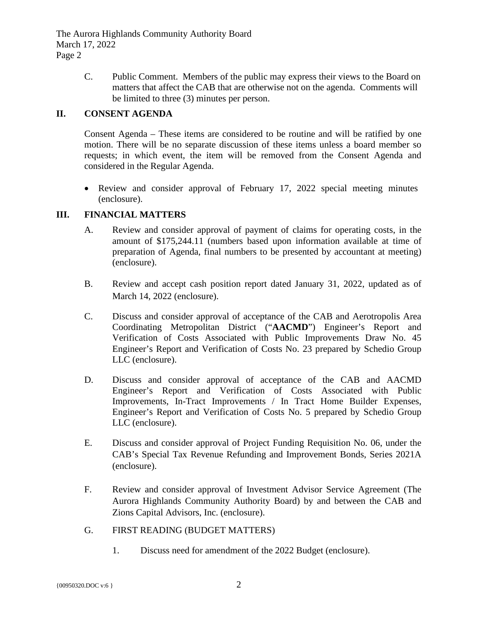C. Public Comment. Members of the public may express their views to the Board on matters that affect the CAB that are otherwise not on the agenda. Comments will be limited to three (3) minutes per person.

## **II. CONSENT AGENDA**

Consent Agenda – These items are considered to be routine and will be ratified by one motion. There will be no separate discussion of these items unless a board member so requests; in which event, the item will be removed from the Consent Agenda and considered in the Regular Agenda.

• Review and consider approval of February 17, 2022 special meeting minutes (enclosure).

## **III. FINANCIAL MATTERS**

- A. Review and consider approval of payment of claims for operating costs, in the amount of \$175,244.11 (numbers based upon information available at time of preparation of Agenda, final numbers to be presented by accountant at meeting) (enclosure).
- B. Review and accept cash position report dated January 31, 2022, updated as of March 14, 2022 (enclosure).
- C. Discuss and consider approval of acceptance of the CAB and Aerotropolis Area Coordinating Metropolitan District ("**AACMD**") Engineer's Report and Verification of Costs Associated with Public Improvements Draw No. 45 Engineer's Report and Verification of Costs No. 23 prepared by Schedio Group LLC (enclosure).
- D. Discuss and consider approval of acceptance of the CAB and AACMD Engineer's Report and Verification of Costs Associated with Public Improvements, In-Tract Improvements / In Tract Home Builder Expenses, Engineer's Report and Verification of Costs No. 5 prepared by Schedio Group LLC (enclosure).
- E. Discuss and consider approval of Project Funding Requisition No. 06, under the CAB's Special Tax Revenue Refunding and Improvement Bonds, Series 2021A (enclosure).
- F. Review and consider approval of Investment Advisor Service Agreement (The Aurora Highlands Community Authority Board) by and between the CAB and Zions Capital Advisors, Inc. (enclosure).
- G. FIRST READING (BUDGET MATTERS)
	- 1. Discuss need for amendment of the 2022 Budget (enclosure).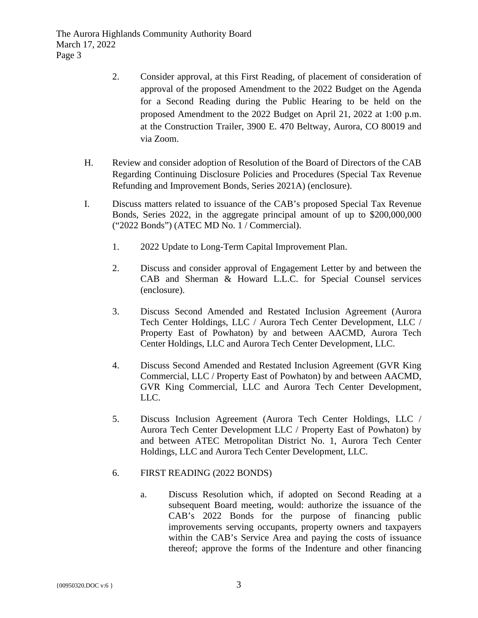The Aurora Highlands Community Authority Board March 17, 2022 Page 3

- 2. Consider approval, at this First Reading, of placement of consideration of approval of the proposed Amendment to the 2022 Budget on the Agenda for a Second Reading during the Public Hearing to be held on the proposed Amendment to the 2022 Budget on April 21, 2022 at 1:00 p.m. at the Construction Trailer, 3900 E. 470 Beltway, Aurora, CO 80019 and via Zoom.
- H. Review and consider adoption of Resolution of the Board of Directors of the CAB Regarding Continuing Disclosure Policies and Procedures (Special Tax Revenue Refunding and Improvement Bonds, Series 2021A) (enclosure).
- I. Discuss matters related to issuance of the CAB's proposed Special Tax Revenue Bonds, Series 2022, in the aggregate principal amount of up to \$200,000,000 ("2022 Bonds") (ATEC MD No. 1 / Commercial).
	- 1. 2022 Update to Long-Term Capital Improvement Plan.
	- 2. Discuss and consider approval of Engagement Letter by and between the CAB and Sherman & Howard L.L.C. for Special Counsel services (enclosure).
	- 3. Discuss Second Amended and Restated Inclusion Agreement (Aurora Tech Center Holdings, LLC / Aurora Tech Center Development, LLC / Property East of Powhaton) by and between AACMD, Aurora Tech Center Holdings, LLC and Aurora Tech Center Development, LLC.
	- 4. Discuss Second Amended and Restated Inclusion Agreement (GVR King Commercial, LLC / Property East of Powhaton) by and between AACMD, GVR King Commercial, LLC and Aurora Tech Center Development, LLC.
	- 5. Discuss Inclusion Agreement (Aurora Tech Center Holdings, LLC / Aurora Tech Center Development LLC / Property East of Powhaton) by and between ATEC Metropolitan District No. 1, Aurora Tech Center Holdings, LLC and Aurora Tech Center Development, LLC.
	- 6. FIRST READING (2022 BONDS)
		- a. Discuss Resolution which, if adopted on Second Reading at a subsequent Board meeting, would: authorize the issuance of the CAB's 2022 Bonds for the purpose of financing public improvements serving occupants, property owners and taxpayers within the CAB's Service Area and paying the costs of issuance thereof; approve the forms of the Indenture and other financing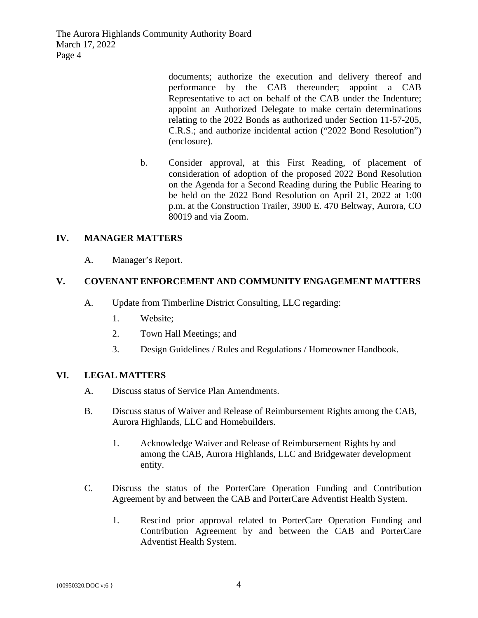The Aurora Highlands Community Authority Board March 17, 2022 Page 4

> documents; authorize the execution and delivery thereof and performance by the CAB thereunder; appoint a CAB Representative to act on behalf of the CAB under the Indenture; appoint an Authorized Delegate to make certain determinations relating to the 2022 Bonds as authorized under Section 11-57-205, C.R.S.; and authorize incidental action ("2022 Bond Resolution") (enclosure).

b. Consider approval, at this First Reading, of placement of consideration of adoption of the proposed 2022 Bond Resolution on the Agenda for a Second Reading during the Public Hearing to be held on the 2022 Bond Resolution on April 21, 2022 at 1:00 p.m. at the Construction Trailer, 3900 E. 470 Beltway, Aurora, CO 80019 and via Zoom.

## **IV. MANAGER MATTERS**

A. Manager's Report.

## **V. COVENANT ENFORCEMENT AND COMMUNITY ENGAGEMENT MATTERS**

- A. Update from Timberline District Consulting, LLC regarding:
	- 1. Website;
	- 2. Town Hall Meetings; and
	- 3. Design Guidelines / Rules and Regulations / Homeowner Handbook.

### **VI. LEGAL MATTERS**

- A. Discuss status of Service Plan Amendments.
- B. Discuss status of Waiver and Release of Reimbursement Rights among the CAB, Aurora Highlands, LLC and Homebuilders.
	- 1. Acknowledge Waiver and Release of Reimbursement Rights by and among the CAB, Aurora Highlands, LLC and Bridgewater development entity.
- C. Discuss the status of the PorterCare Operation Funding and Contribution Agreement by and between the CAB and PorterCare Adventist Health System.
	- 1. Rescind prior approval related to PorterCare Operation Funding and Contribution Agreement by and between the CAB and PorterCare Adventist Health System.